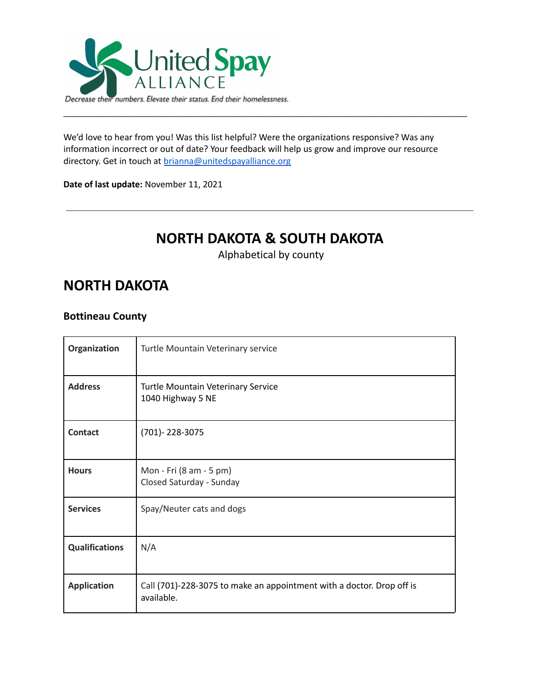

We'd love to hear from you! Was this list helpful? Were the organizations responsive? Was any information incorrect or out of date? Your feedback will help us grow and improve our resource directory. Get in touch at [brianna@unitedspayalliance.org](mailto:brianna@unitedspayalliance.org)

\_\_\_\_\_\_\_\_\_\_\_\_\_\_\_\_\_\_\_\_\_\_\_\_\_\_\_\_\_\_\_\_\_\_\_\_\_\_\_\_\_\_\_\_\_\_\_\_\_\_\_\_\_\_\_\_\_\_\_\_\_\_\_\_\_\_\_\_\_\_\_\_\_\_\_\_\_\_\_\_\_\_\_

**Date of last update:** November 11, 2021

# **NORTH DAKOTA & SOUTH DAKOTA**

Alphabetical by county

## **NORTH DAKOTA**

#### **Bottineau County**

| Organization          | Turtle Mountain Veterinary service                                                  |
|-----------------------|-------------------------------------------------------------------------------------|
| <b>Address</b>        | <b>Turtle Mountain Veterinary Service</b><br>1040 Highway 5 NE                      |
| <b>Contact</b>        | (701)-228-3075                                                                      |
| <b>Hours</b>          | Mon - Fri (8 am - 5 pm)<br>Closed Saturday - Sunday                                 |
| <b>Services</b>       | Spay/Neuter cats and dogs                                                           |
| <b>Qualifications</b> | N/A                                                                                 |
| <b>Application</b>    | Call (701)-228-3075 to make an appointment with a doctor. Drop off is<br>available. |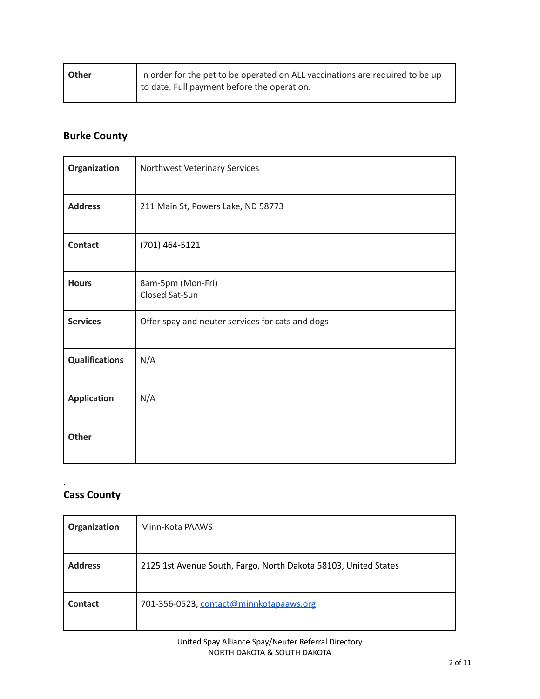| <b>Other</b> | In order for the pet to be operated on ALL vaccinations are required to be up |
|--------------|-------------------------------------------------------------------------------|
|              | to date. Full payment before the operation.                                   |

## **Burke County**

| Organization          | Northwest Veterinary Services                    |
|-----------------------|--------------------------------------------------|
| <b>Address</b>        | 211 Main St, Powers Lake, ND 58773               |
| <b>Contact</b>        | (701) 464-5121                                   |
| <b>Hours</b>          | 8am-5pm (Mon-Fri)<br>Closed Sat-Sun              |
| <b>Services</b>       | Offer spay and neuter services for cats and dogs |
| <b>Qualifications</b> | N/A                                              |
| <b>Application</b>    | N/A                                              |
| Other                 |                                                  |

#### **Cass County**

.

| Organization   | Minn-Kota PAAWS                                                 |
|----------------|-----------------------------------------------------------------|
| <b>Address</b> | 2125 1st Avenue South, Fargo, North Dakota 58103, United States |
| Contact        | 701-356-0523, contact@minnkotapaaws.org                         |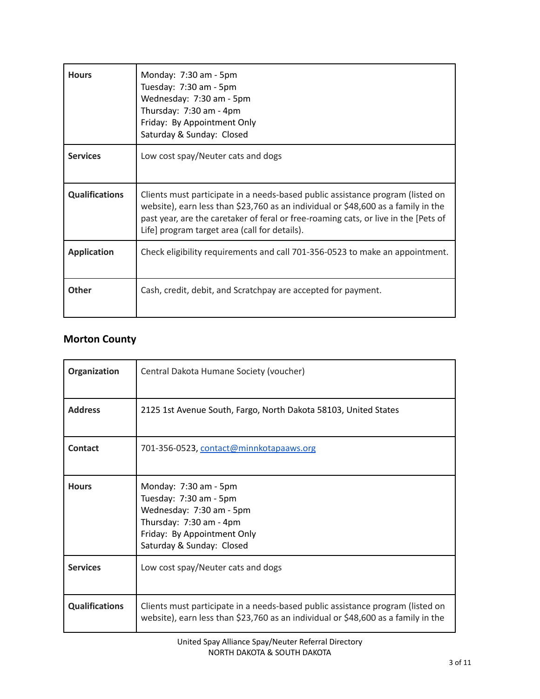| <b>Hours</b>          | Monday: 7:30 am - 5pm<br>Tuesday: 7:30 am - 5pm<br>Wednesday: 7:30 am - 5pm<br>Thursday: 7:30 am - 4pm<br>Friday: By Appointment Only<br>Saturday & Sunday: Closed                                                                                                                                          |
|-----------------------|-------------------------------------------------------------------------------------------------------------------------------------------------------------------------------------------------------------------------------------------------------------------------------------------------------------|
| <b>Services</b>       | Low cost spay/Neuter cats and dogs                                                                                                                                                                                                                                                                          |
| <b>Qualifications</b> | Clients must participate in a needs-based public assistance program (listed on<br>website), earn less than \$23,760 as an individual or \$48,600 as a family in the<br>past year, are the caretaker of feral or free-roaming cats, or live in the [Pets of<br>Life] program target area (call for details). |
| <b>Application</b>    | Check eligibility requirements and call 701-356-0523 to make an appointment.                                                                                                                                                                                                                                |
| <b>Other</b>          | Cash, credit, debit, and Scratchpay are accepted for payment.                                                                                                                                                                                                                                               |

#### **Morton County**

| Organization          | Central Dakota Humane Society (voucher)                                                                                                                             |
|-----------------------|---------------------------------------------------------------------------------------------------------------------------------------------------------------------|
| <b>Address</b>        | 2125 1st Avenue South, Fargo, North Dakota 58103, United States                                                                                                     |
| Contact               | 701-356-0523, contact@minnkotapaaws.org                                                                                                                             |
| <b>Hours</b>          | Monday: 7:30 am - 5pm<br>Tuesday: 7:30 am - 5pm<br>Wednesday: 7:30 am - 5pm<br>Thursday: 7:30 am - 4pm<br>Friday: By Appointment Only<br>Saturday & Sunday: Closed  |
| <b>Services</b>       | Low cost spay/Neuter cats and dogs                                                                                                                                  |
| <b>Qualifications</b> | Clients must participate in a needs-based public assistance program (listed on<br>website), earn less than \$23,760 as an individual or \$48,600 as a family in the |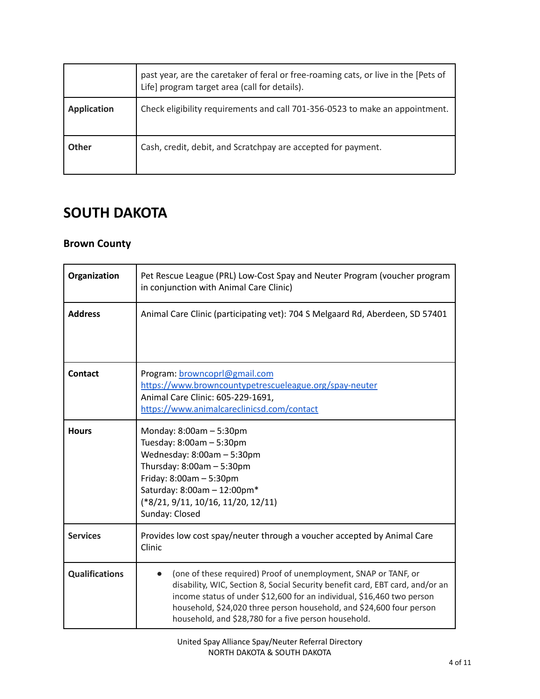|                    | past year, are the caretaker of feral or free-roaming cats, or live in the [Pets of<br>Life] program target area (call for details). |
|--------------------|--------------------------------------------------------------------------------------------------------------------------------------|
| <b>Application</b> | Check eligibility requirements and call 701-356-0523 to make an appointment.                                                         |
| <b>Other</b>       | Cash, credit, debit, and Scratchpay are accepted for payment.                                                                        |

## **SOUTH DAKOTA**

#### **Brown County**

| Organization          | Pet Rescue League (PRL) Low-Cost Spay and Neuter Program (voucher program<br>in conjunction with Animal Care Clinic)                                                                                                                                                                                                                                       |
|-----------------------|------------------------------------------------------------------------------------------------------------------------------------------------------------------------------------------------------------------------------------------------------------------------------------------------------------------------------------------------------------|
| <b>Address</b>        | Animal Care Clinic (participating vet): 704 S Melgaard Rd, Aberdeen, SD 57401                                                                                                                                                                                                                                                                              |
| <b>Contact</b>        | Program: browncoprl@gmail.com<br>https://www.browncountypetrescueleague.org/spay-neuter<br>Animal Care Clinic: 605-229-1691,<br>https://www.animalcareclinicsd.com/contact                                                                                                                                                                                 |
| <b>Hours</b>          | Monday: $8:00am - 5:30pm$<br>Tuesday: 8:00am - 5:30pm<br>Wednesday: 8:00am - 5:30pm<br>Thursday: $8:00am - 5:30pm$<br>Friday: $8:00$ am $-5:30$ pm<br>Saturday: 8:00am - 12:00pm*<br>(*8/21, 9/11, 10/16, 11/20, 12/11)<br>Sunday: Closed                                                                                                                  |
| <b>Services</b>       | Provides low cost spay/neuter through a voucher accepted by Animal Care<br>Clinic                                                                                                                                                                                                                                                                          |
| <b>Qualifications</b> | (one of these required) Proof of unemployment, SNAP or TANF, or<br>disability, WIC, Section 8, Social Security benefit card, EBT card, and/or an<br>income status of under \$12,600 for an individual, \$16,460 two person<br>household, \$24,020 three person household, and \$24,600 four person<br>household, and \$28,780 for a five person household. |

United Spay Alliance Spay/Neuter Referral Directory NORTH DAKOTA & SOUTH DAKOTA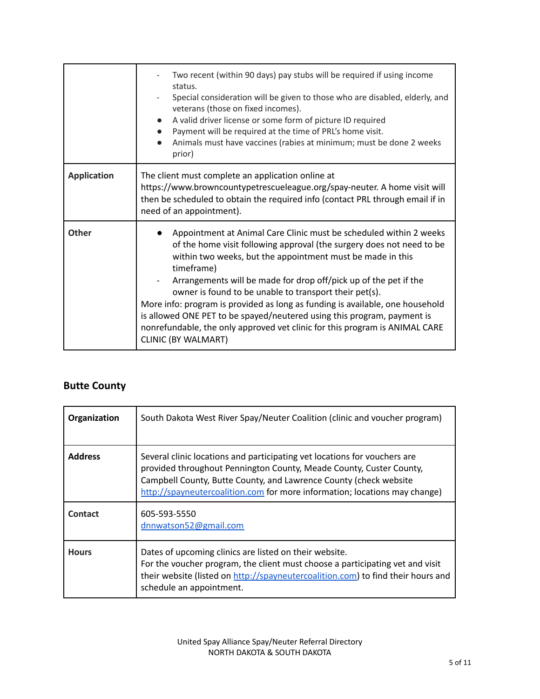|                    | Two recent (within 90 days) pay stubs will be required if using income<br>status.<br>Special consideration will be given to those who are disabled, elderly, and<br>veterans (those on fixed incomes).<br>A valid driver license or some form of picture ID required<br>Payment will be required at the time of PRL's home visit.<br>$\bullet$<br>Animals must have vaccines (rabies at minimum; must be done 2 weeks<br>prior)                                                                                                                                                                                                |
|--------------------|--------------------------------------------------------------------------------------------------------------------------------------------------------------------------------------------------------------------------------------------------------------------------------------------------------------------------------------------------------------------------------------------------------------------------------------------------------------------------------------------------------------------------------------------------------------------------------------------------------------------------------|
| <b>Application</b> | The client must complete an application online at<br>https://www.browncountypetrescueleague.org/spay-neuter. A home visit will<br>then be scheduled to obtain the required info (contact PRL through email if in<br>need of an appointment).                                                                                                                                                                                                                                                                                                                                                                                   |
| <b>Other</b>       | Appointment at Animal Care Clinic must be scheduled within 2 weeks<br>of the home visit following approval (the surgery does not need to be<br>within two weeks, but the appointment must be made in this<br>timeframe)<br>Arrangements will be made for drop off/pick up of the pet if the<br>owner is found to be unable to transport their pet(s).<br>More info: program is provided as long as funding is available, one household<br>is allowed ONE PET to be spayed/neutered using this program, payment is<br>nonrefundable, the only approved vet clinic for this program is ANIMAL CARE<br><b>CLINIC (BY WALMART)</b> |

## **Butte County**

| Organization   | South Dakota West River Spay/Neuter Coalition (clinic and voucher program)                                                                                                                                                                                                                          |
|----------------|-----------------------------------------------------------------------------------------------------------------------------------------------------------------------------------------------------------------------------------------------------------------------------------------------------|
| <b>Address</b> | Several clinic locations and participating vet locations for vouchers are<br>provided throughout Pennington County, Meade County, Custer County,<br>Campbell County, Butte County, and Lawrence County (check website<br>http://spayneutercoalition.com for more information; locations may change) |
| Contact        | 605-593-5550<br>dnnwatson52@gmail.com                                                                                                                                                                                                                                                               |
| <b>Hours</b>   | Dates of upcoming clinics are listed on their website.<br>For the voucher program, the client must choose a participating vet and visit<br>their website (listed on http://spayneutercoalition.com) to find their hours and<br>schedule an appointment.                                             |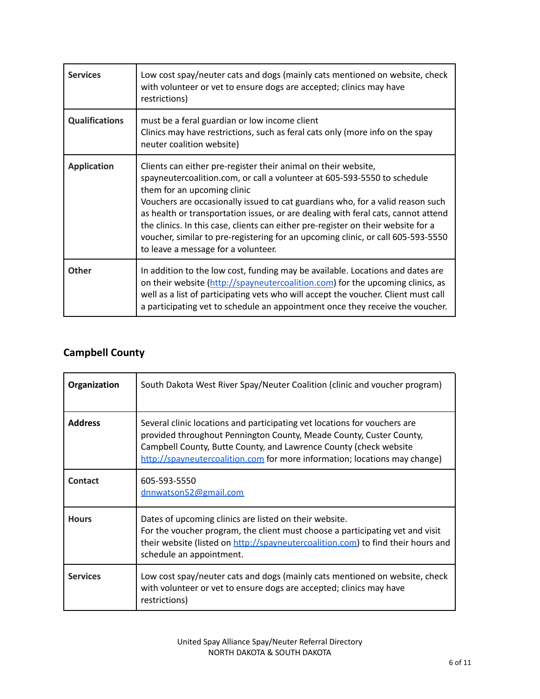| <b>Services</b>       | Low cost spay/neuter cats and dogs (mainly cats mentioned on website, check<br>with volunteer or vet to ensure dogs are accepted; clinics may have<br>restrictions)                                                                                                                                                                                                                                                                                                                                                                                              |
|-----------------------|------------------------------------------------------------------------------------------------------------------------------------------------------------------------------------------------------------------------------------------------------------------------------------------------------------------------------------------------------------------------------------------------------------------------------------------------------------------------------------------------------------------------------------------------------------------|
| <b>Qualifications</b> | must be a feral guardian or low income client<br>Clinics may have restrictions, such as feral cats only (more info on the spay<br>neuter coalition website)                                                                                                                                                                                                                                                                                                                                                                                                      |
| <b>Application</b>    | Clients can either pre-register their animal on their website,<br>spayneutercoalition.com, or call a volunteer at 605-593-5550 to schedule<br>them for an upcoming clinic<br>Vouchers are occasionally issued to cat guardians who, for a valid reason such<br>as health or transportation issues, or are dealing with feral cats, cannot attend<br>the clinics. In this case, clients can either pre-register on their website for a<br>voucher, similar to pre-registering for an upcoming clinic, or call 605-593-5550<br>to leave a message for a volunteer. |
| Other                 | In addition to the low cost, funding may be available. Locations and dates are<br>on their website (http://spayneutercoalition.com) for the upcoming clinics, as<br>well as a list of participating vets who will accept the voucher. Client must call<br>a participating vet to schedule an appointment once they receive the voucher.                                                                                                                                                                                                                          |

## **Campbell County**

| Organization    | South Dakota West River Spay/Neuter Coalition (clinic and voucher program)                                                                                                                                                                                                                          |
|-----------------|-----------------------------------------------------------------------------------------------------------------------------------------------------------------------------------------------------------------------------------------------------------------------------------------------------|
| <b>Address</b>  | Several clinic locations and participating vet locations for vouchers are<br>provided throughout Pennington County, Meade County, Custer County,<br>Campbell County, Butte County, and Lawrence County (check website<br>http://spayneutercoalition.com for more information; locations may change) |
| Contact         | 605-593-5550<br>dnnwatson52@gmail.com                                                                                                                                                                                                                                                               |
| <b>Hours</b>    | Dates of upcoming clinics are listed on their website.<br>For the voucher program, the client must choose a participating vet and visit<br>their website (listed on http://spayneutercoalition.com) to find their hours and<br>schedule an appointment.                                             |
| <b>Services</b> | Low cost spay/neuter cats and dogs (mainly cats mentioned on website, check<br>with volunteer or vet to ensure dogs are accepted; clinics may have<br>restrictions)                                                                                                                                 |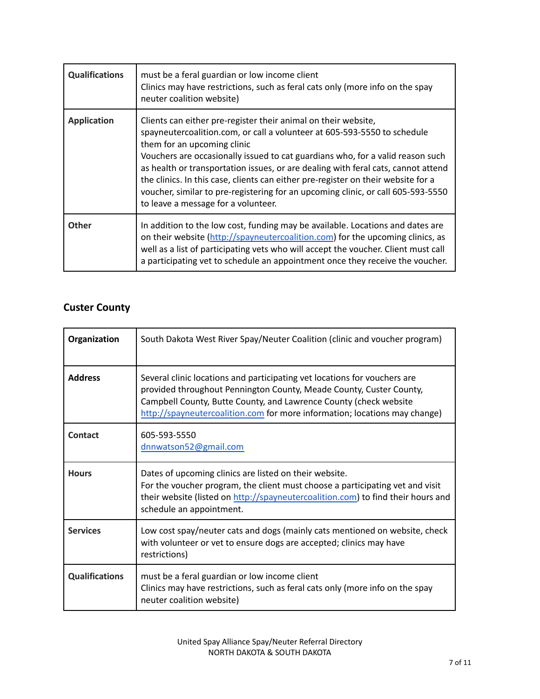| <b>Qualifications</b> | must be a feral guardian or low income client<br>Clinics may have restrictions, such as feral cats only (more info on the spay<br>neuter coalition website)                                                                                                                                                                                                                                                                                                                                                                                                      |
|-----------------------|------------------------------------------------------------------------------------------------------------------------------------------------------------------------------------------------------------------------------------------------------------------------------------------------------------------------------------------------------------------------------------------------------------------------------------------------------------------------------------------------------------------------------------------------------------------|
| <b>Application</b>    | Clients can either pre-register their animal on their website,<br>spayneutercoalition.com, or call a volunteer at 605-593-5550 to schedule<br>them for an upcoming clinic<br>Vouchers are occasionally issued to cat guardians who, for a valid reason such<br>as health or transportation issues, or are dealing with feral cats, cannot attend<br>the clinics. In this case, clients can either pre-register on their website for a<br>voucher, similar to pre-registering for an upcoming clinic, or call 605-593-5550<br>to leave a message for a volunteer. |
| <b>Other</b>          | In addition to the low cost, funding may be available. Locations and dates are<br>on their website (http://spayneutercoalition.com) for the upcoming clinics, as<br>well as a list of participating vets who will accept the voucher. Client must call<br>a participating vet to schedule an appointment once they receive the voucher.                                                                                                                                                                                                                          |

## **Custer County**

| Organization          | South Dakota West River Spay/Neuter Coalition (clinic and voucher program)                                                                                                                                                                                                                          |
|-----------------------|-----------------------------------------------------------------------------------------------------------------------------------------------------------------------------------------------------------------------------------------------------------------------------------------------------|
| <b>Address</b>        | Several clinic locations and participating vet locations for vouchers are<br>provided throughout Pennington County, Meade County, Custer County,<br>Campbell County, Butte County, and Lawrence County (check website<br>http://spayneutercoalition.com for more information; locations may change) |
| Contact               | 605-593-5550<br>dnnwatson52@gmail.com                                                                                                                                                                                                                                                               |
| <b>Hours</b>          | Dates of upcoming clinics are listed on their website.<br>For the voucher program, the client must choose a participating vet and visit<br>their website (listed on http://spayneutercoalition.com) to find their hours and<br>schedule an appointment.                                             |
| <b>Services</b>       | Low cost spay/neuter cats and dogs (mainly cats mentioned on website, check<br>with volunteer or vet to ensure dogs are accepted; clinics may have<br>restrictions)                                                                                                                                 |
| <b>Qualifications</b> | must be a feral guardian or low income client<br>Clinics may have restrictions, such as feral cats only (more info on the spay<br>neuter coalition website)                                                                                                                                         |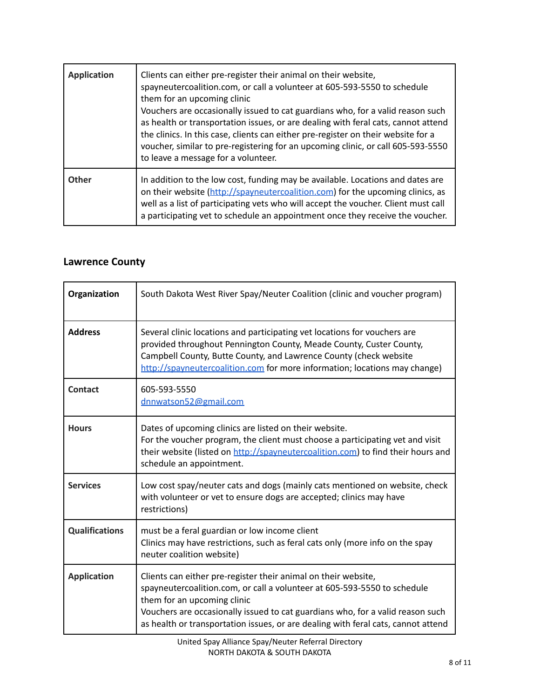| <b>Application</b> | Clients can either pre-register their animal on their website,<br>spayneutercoalition.com, or call a volunteer at 605-593-5550 to schedule<br>them for an upcoming clinic<br>Vouchers are occasionally issued to cat guardians who, for a valid reason such<br>as health or transportation issues, or are dealing with feral cats, cannot attend<br>the clinics. In this case, clients can either pre-register on their website for a<br>voucher, similar to pre-registering for an upcoming clinic, or call 605-593-5550<br>to leave a message for a volunteer. |
|--------------------|------------------------------------------------------------------------------------------------------------------------------------------------------------------------------------------------------------------------------------------------------------------------------------------------------------------------------------------------------------------------------------------------------------------------------------------------------------------------------------------------------------------------------------------------------------------|
| Other              | In addition to the low cost, funding may be available. Locations and dates are<br>on their website (http://spayneutercoalition.com) for the upcoming clinics, as<br>well as a list of participating vets who will accept the voucher. Client must call<br>a participating vet to schedule an appointment once they receive the voucher.                                                                                                                                                                                                                          |

#### **Lawrence County**

| Organization          | South Dakota West River Spay/Neuter Coalition (clinic and voucher program)                                                                                                                                                                                                                                                                       |
|-----------------------|--------------------------------------------------------------------------------------------------------------------------------------------------------------------------------------------------------------------------------------------------------------------------------------------------------------------------------------------------|
| <b>Address</b>        | Several clinic locations and participating vet locations for vouchers are<br>provided throughout Pennington County, Meade County, Custer County,<br>Campbell County, Butte County, and Lawrence County (check website<br>http://spayneutercoalition.com for more information; locations may change)                                              |
| Contact               | 605-593-5550<br>dnnwatson52@gmail.com                                                                                                                                                                                                                                                                                                            |
| <b>Hours</b>          | Dates of upcoming clinics are listed on their website.<br>For the voucher program, the client must choose a participating vet and visit<br>their website (listed on http://spayneutercoalition.com) to find their hours and<br>schedule an appointment.                                                                                          |
| <b>Services</b>       | Low cost spay/neuter cats and dogs (mainly cats mentioned on website, check<br>with volunteer or vet to ensure dogs are accepted; clinics may have<br>restrictions)                                                                                                                                                                              |
| <b>Qualifications</b> | must be a feral guardian or low income client<br>Clinics may have restrictions, such as feral cats only (more info on the spay<br>neuter coalition website)                                                                                                                                                                                      |
| <b>Application</b>    | Clients can either pre-register their animal on their website,<br>spayneutercoalition.com, or call a volunteer at 605-593-5550 to schedule<br>them for an upcoming clinic<br>Vouchers are occasionally issued to cat guardians who, for a valid reason such<br>as health or transportation issues, or are dealing with feral cats, cannot attend |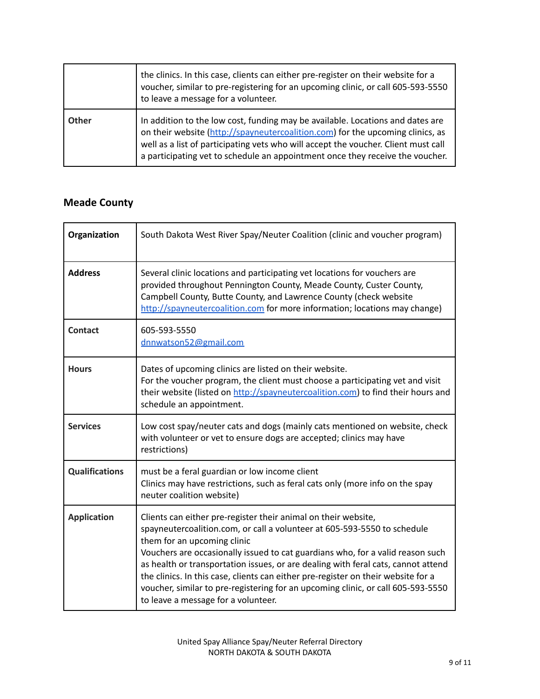|       | the clinics. In this case, clients can either pre-register on their website for a<br>voucher, similar to pre-registering for an upcoming clinic, or call 605-593-5550<br>to leave a message for a volunteer.                                                                                                                            |
|-------|-----------------------------------------------------------------------------------------------------------------------------------------------------------------------------------------------------------------------------------------------------------------------------------------------------------------------------------------|
| Other | In addition to the low cost, funding may be available. Locations and dates are<br>on their website (http://spayneutercoalition.com) for the upcoming clinics, as<br>well as a list of participating vets who will accept the voucher. Client must call<br>a participating vet to schedule an appointment once they receive the voucher. |

## **Meade County**

| Organization          | South Dakota West River Spay/Neuter Coalition (clinic and voucher program)                                                                                                                                                                                                                                                                                                                                                                                                                                                                                       |
|-----------------------|------------------------------------------------------------------------------------------------------------------------------------------------------------------------------------------------------------------------------------------------------------------------------------------------------------------------------------------------------------------------------------------------------------------------------------------------------------------------------------------------------------------------------------------------------------------|
| <b>Address</b>        | Several clinic locations and participating vet locations for vouchers are<br>provided throughout Pennington County, Meade County, Custer County,<br>Campbell County, Butte County, and Lawrence County (check website<br>http://spayneutercoalition.com for more information; locations may change)                                                                                                                                                                                                                                                              |
| <b>Contact</b>        | 605-593-5550<br>dnnwatson52@gmail.com                                                                                                                                                                                                                                                                                                                                                                                                                                                                                                                            |
| <b>Hours</b>          | Dates of upcoming clinics are listed on their website.<br>For the voucher program, the client must choose a participating vet and visit<br>their website (listed on http://spayneutercoalition.com) to find their hours and<br>schedule an appointment.                                                                                                                                                                                                                                                                                                          |
| <b>Services</b>       | Low cost spay/neuter cats and dogs (mainly cats mentioned on website, check<br>with volunteer or vet to ensure dogs are accepted; clinics may have<br>restrictions)                                                                                                                                                                                                                                                                                                                                                                                              |
| <b>Qualifications</b> | must be a feral guardian or low income client<br>Clinics may have restrictions, such as feral cats only (more info on the spay<br>neuter coalition website)                                                                                                                                                                                                                                                                                                                                                                                                      |
| <b>Application</b>    | Clients can either pre-register their animal on their website,<br>spayneutercoalition.com, or call a volunteer at 605-593-5550 to schedule<br>them for an upcoming clinic<br>Vouchers are occasionally issued to cat guardians who, for a valid reason such<br>as health or transportation issues, or are dealing with feral cats, cannot attend<br>the clinics. In this case, clients can either pre-register on their website for a<br>voucher, similar to pre-registering for an upcoming clinic, or call 605-593-5550<br>to leave a message for a volunteer. |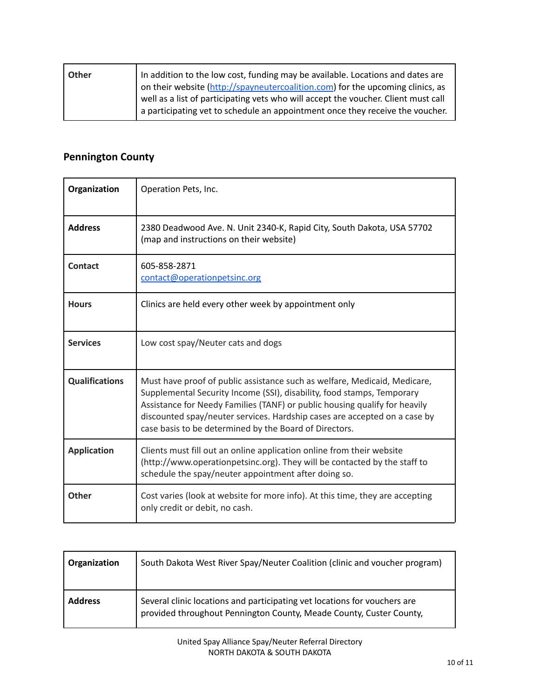| Other | In addition to the low cost, funding may be available. Locations and dates are               |
|-------|----------------------------------------------------------------------------------------------|
|       | on their website (http://spayneutercoalition.com) for the upcoming clinics, as               |
|       | $\alpha$ well as a list of participating vets who will accept the voucher. Client must call  |
|       | $\overline{a}$ a participating vet to schedule an appointment once they receive the voucher. |

## **Pennington County**

| Organization          | Operation Pets, Inc.                                                                                                                                                                                                                                                                                                                                                     |
|-----------------------|--------------------------------------------------------------------------------------------------------------------------------------------------------------------------------------------------------------------------------------------------------------------------------------------------------------------------------------------------------------------------|
| <b>Address</b>        | 2380 Deadwood Ave. N. Unit 2340-K, Rapid City, South Dakota, USA 57702<br>(map and instructions on their website)                                                                                                                                                                                                                                                        |
| <b>Contact</b>        | 605-858-2871<br>contact@operationpetsinc.org                                                                                                                                                                                                                                                                                                                             |
| <b>Hours</b>          | Clinics are held every other week by appointment only                                                                                                                                                                                                                                                                                                                    |
| <b>Services</b>       | Low cost spay/Neuter cats and dogs                                                                                                                                                                                                                                                                                                                                       |
| <b>Qualifications</b> | Must have proof of public assistance such as welfare, Medicaid, Medicare,<br>Supplemental Security Income (SSI), disability, food stamps, Temporary<br>Assistance for Needy Families (TANF) or public housing qualify for heavily<br>discounted spay/neuter services. Hardship cases are accepted on a case by<br>case basis to be determined by the Board of Directors. |
| <b>Application</b>    | Clients must fill out an online application online from their website<br>(http://www.operationpetsinc.org). They will be contacted by the staff to<br>schedule the spay/neuter appointment after doing so.                                                                                                                                                               |
| <b>Other</b>          | Cost varies (look at website for more info). At this time, they are accepting<br>only credit or debit, no cash.                                                                                                                                                                                                                                                          |

| Organization   | South Dakota West River Spay/Neuter Coalition (clinic and voucher program)                                                                       |
|----------------|--------------------------------------------------------------------------------------------------------------------------------------------------|
| <b>Address</b> | Several clinic locations and participating vet locations for vouchers are<br>provided throughout Pennington County, Meade County, Custer County, |